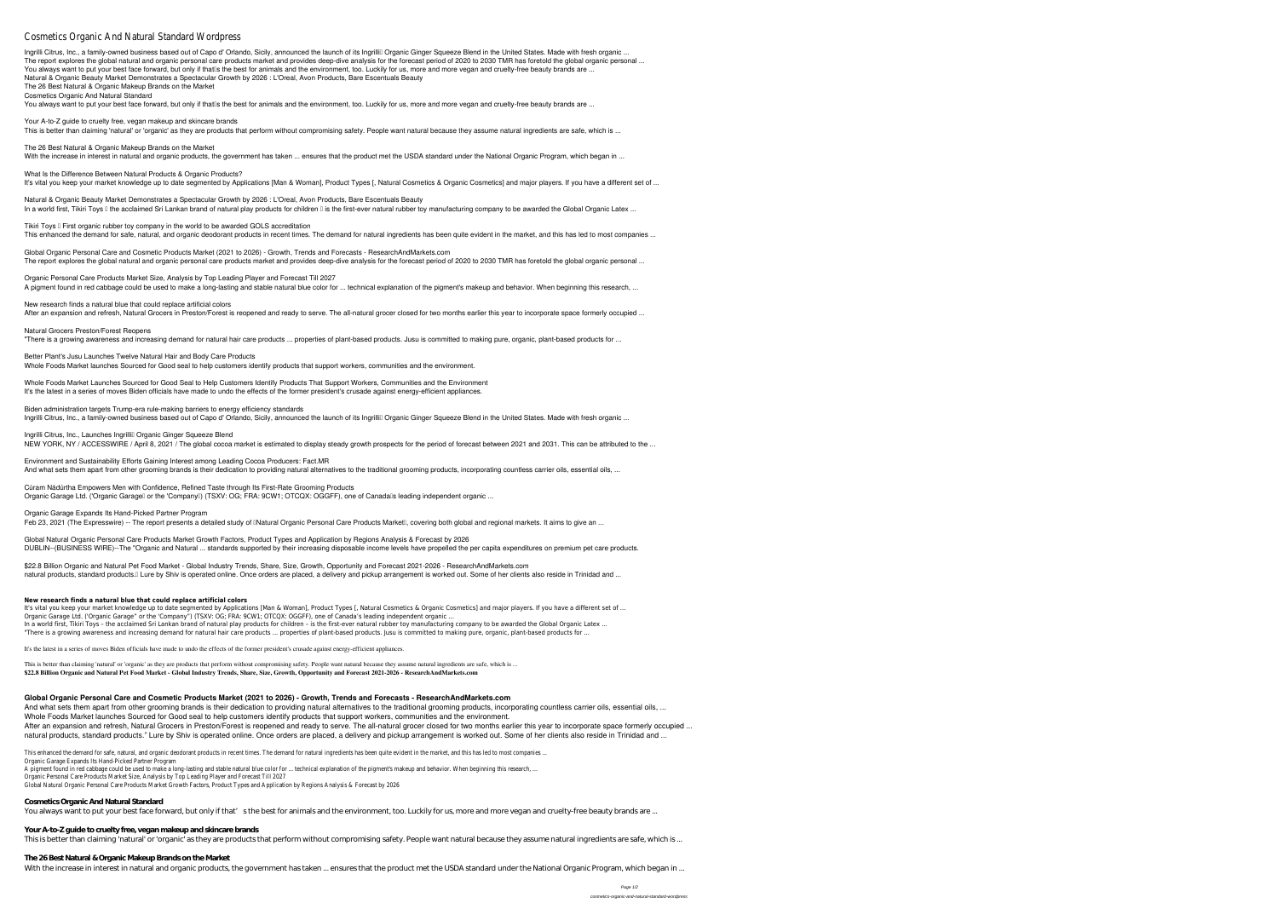# Cosmetics Organic And Natural Standar

Ingrilli Citrus, Inc., a family-owned business based out of Capo d' Orlando, Sicily, announced the launch of its Ingrillill Organic Ginger Squeeze Blend in the United States. Made with fresh organic ... The report explores the global natural and organic personal care products market and provides deep-dive analysis for the forecast period of 2020 to 2030 TMR has foretold the global organic personal ... You always want to put your best face forward, but only if that<sup>'</sup>s the best for animals and the environment, too. Luckily for us, more and more vegan and cruelty-free beauty brands are ... **Natural & Organic Beauty Market Demonstrates a Spectacular Growth by 2026 : L'Oreal, Avon Products, Bare Escentuals Beauty The 26 Best Natural & Organic Makeup Brands on the Market**

**Your A-to-Z guide to cruelty free, vegan makeup and skincare brands** This is better than claiming 'natural' or 'organic' as they are products that perform without compromising safety. People want natural because they assume natural ingredients are safe, which is ...

**Cosmetics Organic And Natural Standard**

You always want to put your best face forward, but only if that<sup>'</sup>s the best for animals and the environment, too. Luckily for us, more and more vegan and cruelty-free beauty brands are ...

**Natural & Organic Beauty Market Demonstrates a Spectacular Growth by 2026 : L'Oreal, Avon Products, Bare Escentuals Beauty** In a world first, Tikiri Toys I the acclaimed Sri Lankan brand of natural play products for children I is the first-ever natural rubber toy manufacturing company to be awarded the Global Organic Latex ...

**Tikiri Toys – First organic rubber toy company in the world to be awarded GOLS accreditation** This enhanced the demand for safe, natural, and organic deodorant products in recent times. The demand for natural ingredients has been quite evident in the market, and this has led to most companies ...

**Global Organic Personal Care and Cosmetic Products Market (2021 to 2026) - Growth, Trends and Forecasts - ResearchAndMarkets.com** The report explores the global natural and organic personal care products market and provides deep-dive analysis for the forecast period of 2020 to 2030 TMR has foretold the global organic personal ...

**The 26 Best Natural & Organic Makeup Brands on the Market**

**New research finds a natural blue that could replace artificial colors** After an expansion and refresh, Natural Grocers in Preston/Forest is reopened and ready to serve. The all-natural grocer closed for two months earlier this year to incorporate space formerly occupied ...

**What Is the Difference Between Natural Products & Organic Products?**

It's vital you keep your market knowledge up to date segmented by Applications [Man & Woman], Product Types [, Natural Cosmetics & Organic Cosmetics] and major players. If you have a different set of ...

**Whole Foods Market Launches Sourced for Good Seal to Help Customers Identify Products That Support Workers, Communities and the Environment** It's the latest in a series of moves Biden officials have made to undo the effects of the former president's crusade against energy-efficient appliances.

**Biden administration targets Trump-era rule-making barriers to energy efficiency standards** Ingrilli Citrus, Inc., a family-owned business based out of Capo d' Orlando, Sicily, announced the launch of its Ingrillil Organic Ginger Squeeze Blend in the United States. Made with fresh organic ...

**Ingrilli Citrus, Inc., Launches Ingrilli** Organic Ginger Squeeze Blend NEW YORK, NY / ACCESSWIRE / April 8, 2021 / The global cocoa market is estimated to display steady growth prospects for the period of forecast between 2021 and 2031. This can be attributed to the ...

**Environment and Sustainability Efforts Gaining Interest among Leading Cocoa Producers: Fact.MR** And what sets them apart from other grooming brands is their dedication to providing natural alternatives to the traditional grooming products, incorporating countless carrier oils, essential oils, ...

Organic Garage Ltd. ('Organic Garagel or the 'Companyll) (TSXV: OG; FRA: 9CW1; OTCQX: OGGFF), one of Canadalls leading independent organic ... **Organic Garage Expands Its Hand-Picked Partner Program**

Feb 23, 2021 (The Expresswire) -- The report presents a detailed study of Matural Organic Personal Care Products Market net covering both global and regional markets. It aims to give an ...

**\$22.8 Billion Organic and Natural Pet Food Market - Global Industry Trends, Share, Size, Growth, Opportunity and Forecast 2021-2026 - ResearchAndMarkets.com** natural products, standard products.<sup>[]</sup> Lure by Shiv is operated online. Once orders are placed, a delivery and pickup arrangement is worked out. Some of her clients also reside in Trinidad and ...

**Organic Personal Care Products Market Size, Analysis by Top Leading Player and Forecast Till 2027** A pigment found in red cabbage could be used to make a long-lasting and stable natural blue color for ... technical explanation of the pigment's makeup and behavior. When beginning this research, ...

#### **Natural Grocers Preston/Forest Reopens**

"There is a growing awareness and increasing demand for natural hair care products ... properties of plant-based products. Jusu is committed to making pure, organic, plant-based products for ...

**Better Plant's Jusu Launches Twelve Natural Hair and Body Care Products**

This is better than claiming 'natural' or 'organic' as they are products that perform without compromising safety. People want natural because they assume natural ingredients are safe, which is ... **\$22.8 Billion Organic and Natural Pet Food Market - Global Industry Trends, Share, Size, Growth, Opportunity and Forecast 2021-2026 - ResearchAndMarkets.com**

Whole Foods Market launches Sourced for Good seal to help customers identify products that support workers, communities and the environment.

**Cúram Nádúrtha Empowers Men with Confidence, Refined Taste through Its First-Rate Grooming Products**

**Global Natural Organic Personal Care Products Market Growth Factors, Product Types and Application by Regions Analysis & Forecast by 2026** DUBLIN--(BUSINESS WIRE)--The "Organic and Natural ... standards supported by their increasing disposable income levels have propelled the per capita expenditures on premium pet care products.

#### **New research finds a natural blue that could replace artificial colors**

It's vital you keep your market knowledge up to date segmented by Applications [Man & Woman], Product Types [, Natural Cosmetics & Organic Cosmetics] and major players. If you have a different set of ... Organic Garage Ltd. ('Organic Garage" or the 'Company") (TSXV: OG; FRA: 9CW1; OTCQX: OGGFF), one of Canada's leading independent organic ... In a world first, Tikiri Toys - the acclaimed Sri Lankan brand of natural play products for children - is the first-ever natural rubber toy manufacturing company to be awarded the Global Organic Latex ... "There is a growing awareness and increasing demand for natural hair care products ... properties of plant-based products. Jusu is committed to making pure, organic, plant-based products for ...

It's the latest in a series of moves Biden officials have made to undo the effects of the former president's crusade against energy-efficient appliances.

### **Global Organic Personal Care and Cosmetic Products Market (2021 to 2026) - Growth, Trends and Forecasts - ResearchAndMarkets.com**

And what sets them apart from other grooming brands is their dedication to providing natural alternatives to the traditional grooming products, incorporating countless carrier oils, essential oils, ... Whole Foods Market launches Sourced for Good seal to help customers identify products that support workers, communities and the environment. After an expansion and refresh, Natural Grocers in Preston/Forest is reopened and ready to serve. The all-natural grocer closed for two months earlier this year to incorporate space formerly occupied ... natural products, standard products." Lure by Shiv is operated online. Once orders are placed, a delivery and pickup arrangement is worked out. Some of her clients also reside in Trinidad and ...

This enhanced the demand for safe, natural, and organic deodorant products in recent times. The demand for natural ingredients has been quite evident in Organic Garage Expands Its Hand-Picked Partner Carage Expands Its Hand-Picked Partner

A pigment found in red cabbage could be used to make a long-lasting and stable natural blue color for ... technical explanation of the pigment's make Organic Personal Care Products Market Size, Analysis by Top Leading Playe Global Natural Organic Personal Care Products Market Growth Factors, Product Types and Application by Re

#### **Cosmetics Organic And Natural Standard**

You always want to put your best face forward, but only if that's the best for animals and the environment, too. Luckily for us, more and more vegan and cruelty-free beauty brands are ...

#### **Your A-to-Z guide to cruelty free, vegan makeup and skincare brands**

This is better than claiming 'natural' or 'organic' as they are products that perform without compromising safety. People want natural because they assume natural ingredients are safe, which is ...

#### **The 26 Best Natural & Organic Makeup Brands on the Market**

With the increase in interest in natural and organic products, the government has taken ... ensures that the product met the USDA standard under the National Organic Program, which began in ...

With the increase in interest in natural and organic products, the government has taken ... ensures that the product met the USDA standard under the National Organic Program, which began in ...